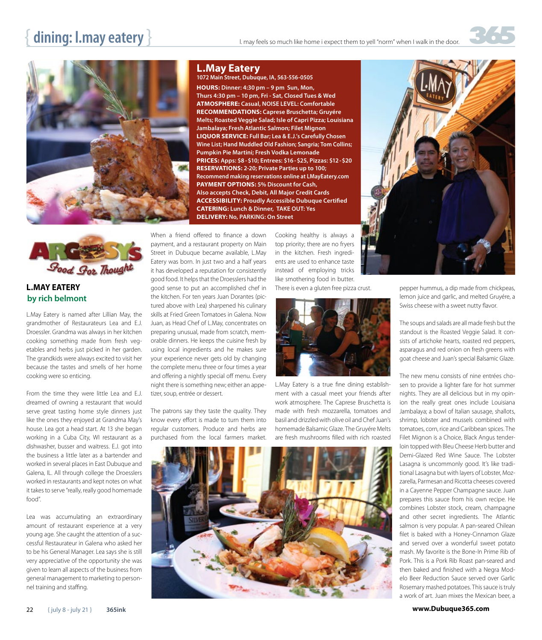



## **L.MAY EATERY by rich belmont**

L.May Eatery is named after Lillian May, the grandmother of Restaurateurs Lea and E.J. Droessler. Grandma was always in her kitchen cooking something made from fresh vegetables and herbs just picked in her garden. The grandkids were always excited to visit her because the tastes and smells of her home cooking were so enticing.

From the time they were little Lea and E.J. dreamed of owning a restaurant that would serve great tasting home style dinners just like the ones they enjoyed at Grandma May's house. Lea got a head start. At 13 she began working in a Cuba City, WI restaurant as a dishwasher, busser and waitress. E.J. got into the business a little later as a bartender and worked in several places in East Dubuque and Galena, IL. All through college the Droesslers worked in restaurants and kept notes on what it takes to serve "really, really good homemade food".

Lea was accumulating an extraordinary amount of restaurant experience at a very young age. She caught the attention of a successful Restaurateur in Galena who asked her to be his General Manager. Lea says she is still very appreciative of the opportunity she was given to learn all aspects of the business from general management to marketing to personnel training and staffing.

### **L.May Eatery**

#### **1072 Main Street, Dubuque, IA, 563-556-0505**

**HOURS: Dinner: 4:30 pm – 9 pm Sun, Mon, Thurs 4:30 pm – 10 pm, Fri - Sat, Closed Tues & Wed ATMOSPHERE: Casual, NOISE LEVEL: Comfortable RECOMMENDATIONS: Caprese Bruschetta; Gruyére Melts; Roasted Veggie Salad; Isle of Capri Pizza; Louisiana Jambalaya; Fresh Atlantic Salmon; Filet Mignon LIQUOR SERVICE: Full Bar; Lea & E.J.'s Carefully Chosen Wine List; Hand Muddled Old Fashion; Sangria; Tom Collins; Pumpkin Pie Martini; Fresh Vodka Lemonade PRICES: Apps: \$8 -\$10; Entrees: \$16-\$25, Pizzas: \$12-\$20 RESERVATIONS: 2-20; Private Parties up to 100; Recommend making reservations online at LMayEatery.com PAYMENT OPTIONS: 5% Discount for Cash, Also accepts Check, Debit, All Major Credit Cards ACCESSIBILITY: Proudly Accessible Dubuque Certified CATERING: Lunch & Dinner, TAKE OUT: Yes DELIVERY: No, PARKING: On Street**

When a friend offered to finance a down payment, and a restaurant property on Main Street in Dubuque became available, L.May Eatery was born. In just two and a half years it has developed a reputation for consistently good food. It helps that the Droesslers had the good sense to put an accomplished chef in the kitchen. For ten years Juan Dorantes (pictured above with Lea) sharpened his culinary skills at Fried Green Tomatoes in Galena. Now Juan, as Head Chef of L.May, concentrates on preparing unusual, made from scratch, memorable dinners. He keeps the cuisine fresh by using local ingredients and he makes sure your experience never gets old by changing the complete menu three or four times a year and offering a nightly special off menu. Every night there is something new; either an appetizer, soup, entrée or dessert.

The patrons say they taste the quality. They know every effort is made to turn them into regular customers. Produce and herbs are purchased from the local farmers market.

Cooking healthy is always a top priority; there are no fryers in the kitchen. Fresh ingredients are used to enhance taste instead of employing tricks like smothering food in butter. There is even a gluten free pizza crust.



L.May Eatery is a true fine dining establishment with a casual meet your friends after work atmosphere. The Caprese Bruschetta is made with fresh mozzarella, tomatoes and basil and drizzled with olive oil and Chef Juan's homemade Balsamic Glaze. The Gruyére Melts are fresh mushrooms filled with rich roasted





pepper hummus, a dip made from chickpeas, lemon juice and garlic, and melted Gruyére, a Swiss cheese with a sweet nutty flavor.

The soups and salads are all made fresh but the standout is the Roasted Veggie Salad. It consists of artichoke hearts, roasted red peppers, asparagus and red onion on fresh greens with goat cheese and Juan's special Balsamic Glaze.

The new menu consists of nine entrées chosen to provide a lighter fare for hot summer nights. They are all delicious but in my opinion the really great ones include Louisiana Jambalaya; a bowl of Italian sausage, shallots, shrimp, lobster and mussels combined with tomatoes, corn, rice and Caribbean spices. The Filet Mignon is a Choice, Black Angus tenderloin topped with Bleu Cheese Herb butter and Demi-Glazed Red Wine Sauce. The Lobster Lasagna is uncommonly good. It's like traditional Lasagna but with layers of Lobster, Mozzarella, Parmesan and Ricotta cheeses covered in a Cayenne Pepper Champagne sauce. Juan prepares this sauce from his own recipe. He combines Lobster stock, cream, champagne and other secret ingredients. The Atlantic salmon is very popular. A pan-seared Chilean filet is baked with a Honey-Cinnamon Glaze and served over a wonderful sweet potato mash. My favorite is the Bone-In Prime Rib of Pork. This is a Pork Rib Roast pan-seared and then baked and finished with a Negra Modelo Beer Reduction Sauce served over Garlic Rosemary mashed potatoes. This sauce is truly a work of art. Juan mixes the Mexican beer, a